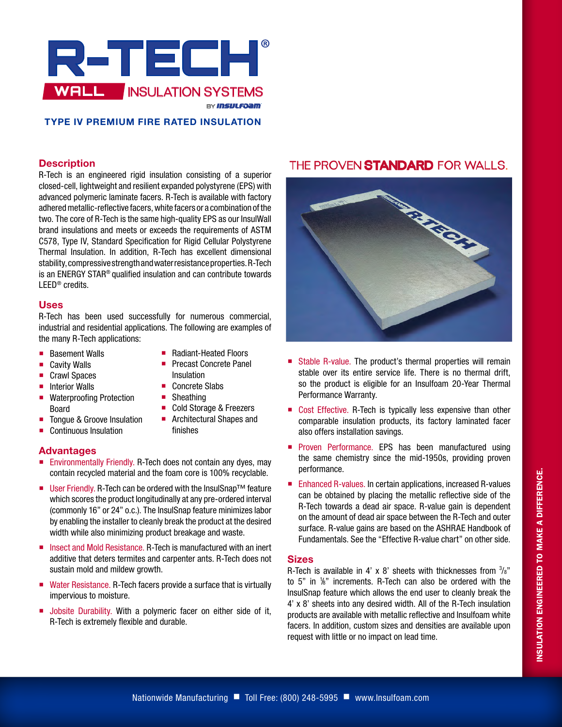

# **TYPE IV PREMIUM FIRE RATED INSULATION**

#### **Description**

R-Tech is an engineered rigid insulation consisting of a superior closed-cell, lightweight and resilient expanded polystyrene (EPS) with advanced polymeric laminate facers. R-Tech is available with factory adhered metallic-reflective facers, white facers or a combination of the two. The core of R-Tech is the same high-quality EPS as our InsulWall brand insulations and meets or exceeds the requirements of ASTM C578, Type IV, Standard Specification for Rigid Cellular Polystyrene Thermal Insulation. In addition, R-Tech has excellent dimensional stability, compressive strength and water resistance properties. R-Tech is an ENERGY STAR® qualified insulation and can contribute towards LEED® credits.

#### **Uses**

R-Tech has been used successfully for numerous commercial, industrial and residential applications. The following are examples of the many R-Tech applications:

> ■ Radiant-Heated Floors **Precast Concrete Panel**

■ Cold Storage & Freezers **Architectural Shapes and** 

Insulation ■ Concrete Slabs ■ Sheathing

finishes

- **Basement Walls**
- Cavity Walls
- Crawl Spaces
- $\blacksquare$  Interior Walls
- Waterproofing Protection Board
- Tongue & Groove Insulation
- Continuous Insulation

#### **Advantages**

- **Environmentally Friendly. R-Tech does not contain any dyes, may** contain recycled material and the foam core is 100% recyclable.
- User Friendly. R-Tech can be ordered with the InsulSnap<sup>™</sup> feature which scores the product longitudinally at any pre-ordered interval (commonly 16" or 24" o.c.). The InsulSnap feature minimizes labor by enabling the installer to cleanly break the product at the desired width while also minimizing product breakage and waste.
- Insect and Mold Resistance. R-Tech is manufactured with an inert additive that deters termites and carpenter ants. R-Tech does not sustain mold and mildew growth.
- Water Resistance. R-Tech facers provide a surface that is virtually impervious to moisture.
- **Jobsite Durability. With a polymeric facer on either side of it,** R-Tech is extremely flexible and durable.

# THE PROVEN STANDARD FOR WALLS.



- Stable R-value. The product's thermal properties will remain stable over its entire service life. There is no thermal drift, so the product is eligible for an Insulfoam 20-Year Thermal Performance Warranty.
- Cost Effective. R-Tech is typically less expensive than other comparable insulation products, its factory laminated facer also offers installation savings.
- **Proven Performance. EPS has been manufactured using** the same chemistry since the mid-1950s, providing proven performance.
- Enhanced R-values. In certain applications, increased R-values can be obtained by placing the metallic reflective side of the R-Tech towards a dead air space. R-value gain is dependent on the amount of dead air space between the R-Tech and outer surface. R-value gains are based on the ASHRAE Handbook of Fundamentals. See the "Effective R-value chart" on other side.

## **Sizes**

R-Tech is available in 4' x 8' sheets with thicknesses from  $\frac{3}{8}$ " to 5" in 1 /8" increments. R-Tech can also be ordered with the InsulSnap feature which allows the end user to cleanly break the 4' x 8' sheets into any desired width. All of the R-Tech insulation products are available with metallic reflective and Insulfoam white facers. In addition, custom sizes and densities are available upon request with little or no impact on lead time.